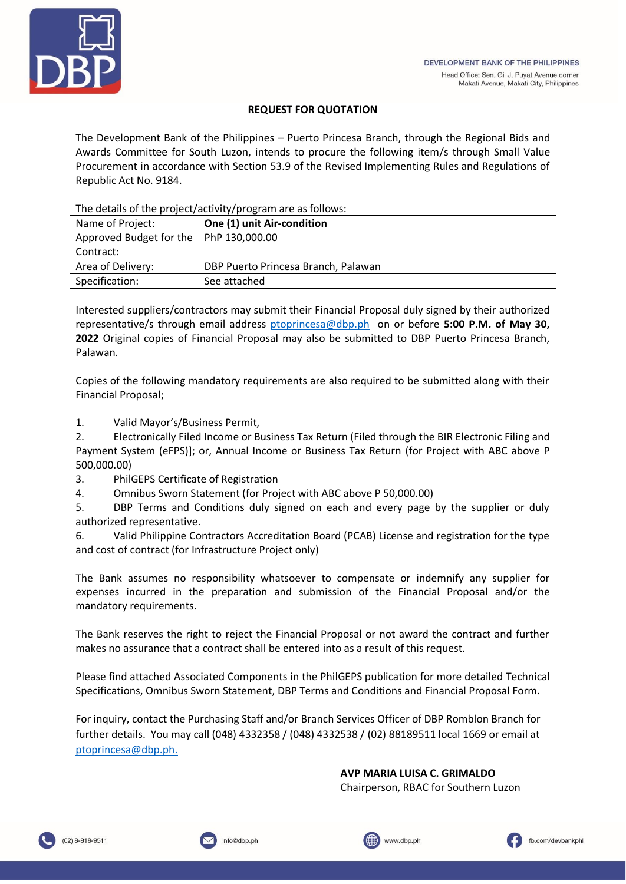

# **REQUEST FOR QUOTATION**

The Development Bank of the Philippines – Puerto Princesa Branch, through the Regional Bids and Awards Committee for South Luzon, intends to procure the following item/s through Small Value Procurement in accordance with Section 53.9 of the Revised Implementing Rules and Regulations of Republic Act No. 9184.

The details of the project/activity/program are as follows:

| Name of Project:                         | One (1) unit Air-condition          |
|------------------------------------------|-------------------------------------|
| Approved Budget for the   PhP 130,000.00 |                                     |
| Contract:                                |                                     |
| Area of Delivery:                        | DBP Puerto Princesa Branch, Palawan |
| Specification:                           | See attached                        |

Interested suppliers/contractors may submit their Financial Proposal duly signed by their authorized representative/s through email address [ptoprincesa@dbp.ph](mailto:ptoprincesa@dbp.ph) on or before **5:00 P.M. of May 30, 2022** Original copies of Financial Proposal may also be submitted to DBP Puerto Princesa Branch, Palawan.

Copies of the following mandatory requirements are also required to be submitted along with their Financial Proposal;

1. Valid Mayor's/Business Permit,

2. Electronically Filed Income or Business Tax Return (Filed through the BIR Electronic Filing and Payment System (eFPS)]; or, Annual Income or Business Tax Return (for Project with ABC above P 500,000.00)

3. PhilGEPS Certificate of Registration

4. Omnibus Sworn Statement (for Project with ABC above P 50,000.00)

5. DBP Terms and Conditions duly signed on each and every page by the supplier or duly authorized representative.

6. Valid Philippine Contractors Accreditation Board (PCAB) License and registration for the type and cost of contract (for Infrastructure Project only)

The Bank assumes no responsibility whatsoever to compensate or indemnify any supplier for expenses incurred in the preparation and submission of the Financial Proposal and/or the mandatory requirements.

The Bank reserves the right to reject the Financial Proposal or not award the contract and further makes no assurance that a contract shall be entered into as a result of this request.

Please find attached Associated Components in the PhilGEPS publication for more detailed Technical Specifications, Omnibus Sworn Statement, DBP Terms and Conditions and Financial Proposal Form.

For inquiry, contact the Purchasing Staff and/or Branch Services Officer of DBP Romblon Branch for further details. You may call (048) 4332358 / (048) 4332538 / (02) 88189511 local 1669 or email at [ptoprincesa@dbp.ph.](mailto:ptoprincesa@dbp.ph)

**AVP MARIA LUISA C. GRIMALDO**

Chairperson, RBAC for Southern Luzon





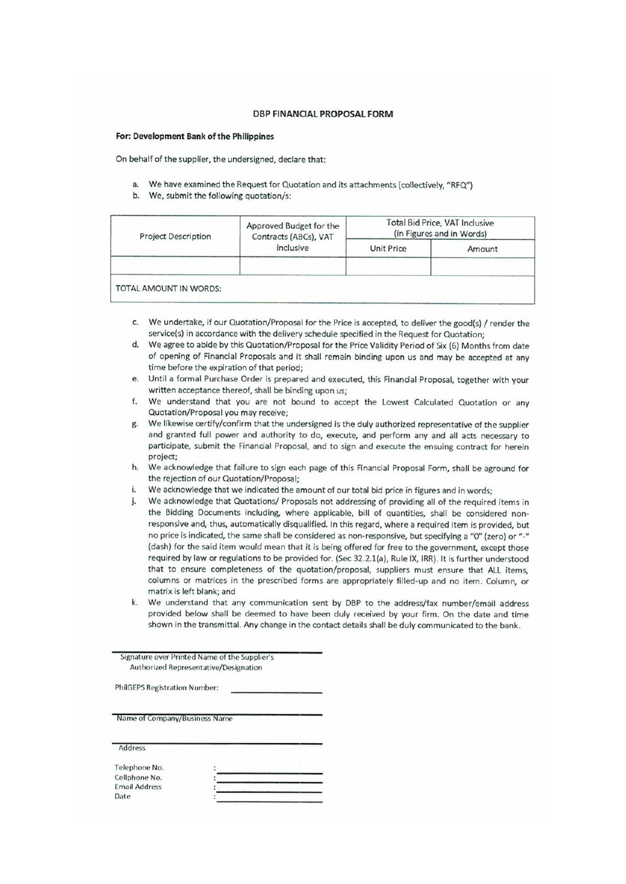#### **DBP FINANCIAL PROPOSAL FORM**

#### For: Development Bank of the Philippines

On behalf of the supplier, the undersigned, declare that:

- a. We have examined the Request for Quotation and its attachments (collectively, "RFQ")
- b. We, submit the following quotation/s:

| <b>Project Description</b> | Approved Budget for the<br>Contracts (ABCs), VAT<br>inclusive | Total Bid Price, VAT Inclusive<br>(in Figures and in Words) |        |
|----------------------------|---------------------------------------------------------------|-------------------------------------------------------------|--------|
|                            |                                                               | Unit Price                                                  | Amount |
| TOTAL AMOUNT IN WORDS:     |                                                               |                                                             |        |

- c. We undertake, if our Quotation/Proposal for the Price is accepted, to deliver the good(s) / render the service(s) in accordance with the delivery schedule specified in the Request for Quotation;
- d. We agree to abide by this Quotation/Proposal for the Price Validity Period of Six (6) Months from date of opening of Financial Proposals and it shall remain binding upon us and may be accepted at any time before the expiration of that period;
- Until a formal Purchase Order is prepared and executed, this Financial Proposal, together with your e. written acceptance thereof, shall be binding upon us;
- We understand that you are not bound to accept the Lowest Calculated Quotation or any  $f$ Quotation/Proposal you may receive;
- g. We likewise certify/confirm that the undersigned is the duly authorized representative of the supplier and granted full power and authority to do, execute, and perform any and all acts necessary to participate, submit the Financial Proposal, and to sign and execute the ensuing contract for herein project:
- h. We acknowledge that failure to sign each page of this Financial Proposal Form, shall be aground for the rejection of our Quotation/Proposal;
- We acknowledge that we indicated the amount of our total bid price in figures and in words; i.
- We acknowledge that Quotations/ Proposals not addressing of providing all of the required items in j. the Bidding Documents including, where applicable, bill of quantities, shall be considered nonresponsive and, thus, automatically disqualified. In this regard, where a required item is provided, but no price is indicated, the same shall be considered as non-responsive, but specifying a "O" (zero) or "-" (dash) for the said item would mean that it is being offered for free to the government, except those required by law or regulations to be provided for. (Sec 32.2.1(a), Rule IX, IRR). It is further understood that to ensure completeness of the quotation/proposal, suppliers must ensure that ALL items, columns or matrices in the prescribed forms are appropriately filled-up and no item. Column, or matrix is left blank; and
- We understand that any communication sent by DBP to the address/fax number/email address  $\mathbf{k}$ . provided below shall be deemed to have been duly received by your firm. On the date and time shown in the transmittal. Any change in the contact details shall be duly communicated to the bank.

Signature over Printed Name of the Supplier's Authorized Representative/Designation

**PhilGEPS Registration Number:** 

Name of Company/Business Name

Address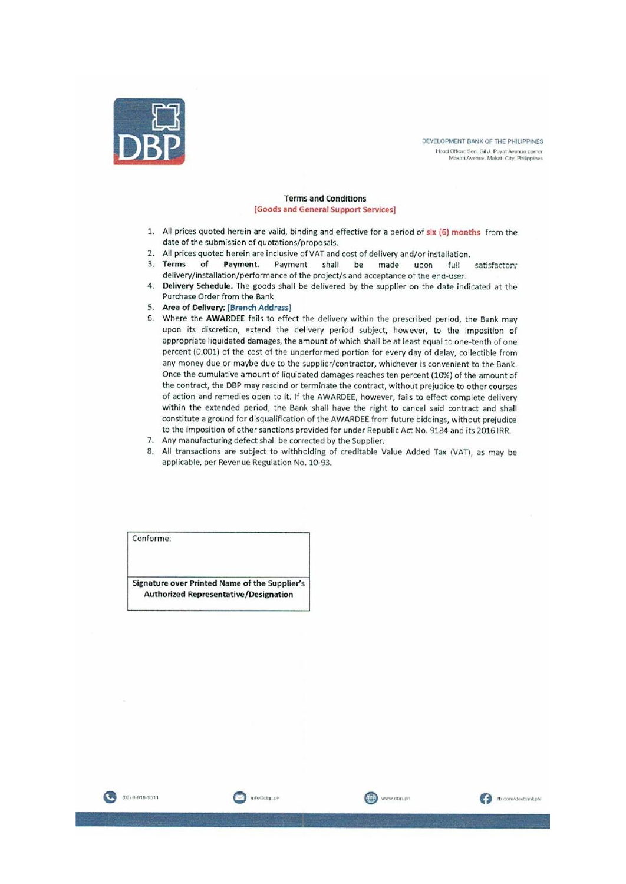

DEVELOPMENT BANK OF THE PHILIPPINES .<br> Head Office: Sen, Gil J. Puyat Avenue corner<br> Makati Avenue, Makati City, Philippines

#### **Terms and Conditions** [Goods and General Support Services]

- 1. All prices quoted herein are valid, binding and effective for a period of six (6) months from the date of the submission of quotations/proposals.
- 2. All prices quoted herein are inclusive of VAT and cost of delivery and/or installation.
- 3. Terms of Payment. Payment shall be made full upon satisfactory delivery/installation/performance of the project/s and acceptance of the end-user.
- 4. Delivery Schedule. The goods shall be delivered by the supplier on the date indicated at the Purchase Order from the Bank.
- 5. Area of Delivery: [Branch Address]
- 6. Where the AWARDEE fails to effect the delivery within the prescribed period, the Bank may upon its discretion, extend the delivery period subject, however, to the imposition of appropriate liquidated damages, the amount of which shall be at least equal to one-tenth of one percent (0.001) of the cost of the unperformed portion for every day of delay, collectible from any money due or maybe due to the supplier/contractor, whichever is convenient to the Bank. Once the cumulative amount of liquidated damages reaches ten percent (10%) of the amount of the contract, the DBP may rescind or terminate the contract, without prejudice to other courses of action and remedies open to it. If the AWARDEE, however, fails to effect complete delivery within the extended period, the Bank shall have the right to cancel said contract and shall constitute a ground for disqualification of the AWARDEE from future biddings, without prejudice to the imposition of other sanctions provided for under Republic Act No. 9184 and its 2016 IRR.
- 7. Any manufacturing defect shall be corrected by the Supplier.

info@clbp.ph

8. All transactions are subject to withholding of creditable Value Added Tax (VAT), as may be applicable, per Revenue Regulation No. 10-93.

www.dbp.ph

**D** com/devbankph

Conforme:

Signature over Printed Name of the Supplier's **Authorized Representative/Designation** 

(02) 8-818-9511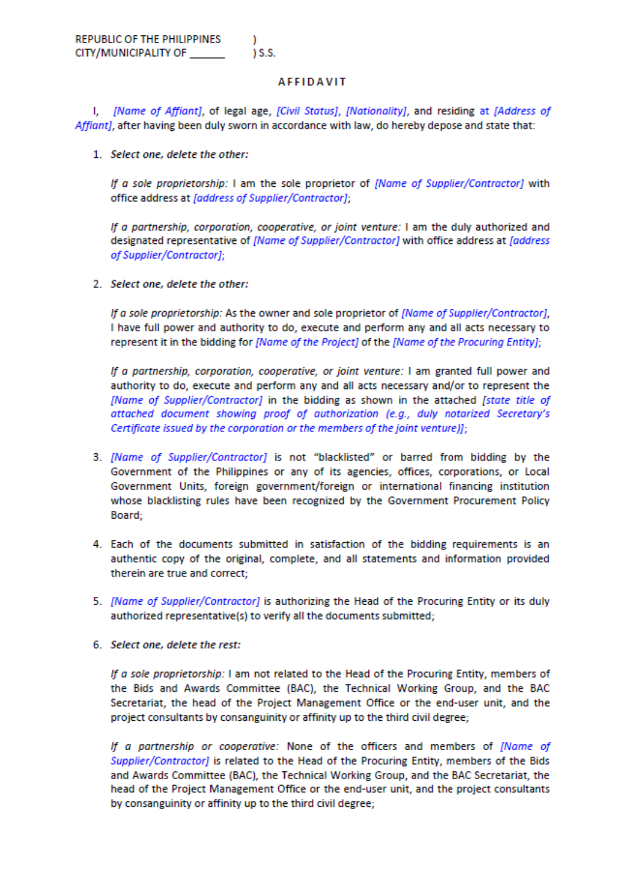### **AFFIDAVIT**

I. *[Name of Affiant]*, of legal age, [Civil Status], [Nationality], and residing at [Address of Affiant], after having been duly sworn in accordance with law, do hereby depose and state that:

1. Select one, delete the other:

If a sole proprietorship: I am the sole proprietor of [Name of Supplier/Contractor] with office address at [address of Supplier/Contractor];

If a partnership, corporation, cooperative, or joint venture: I am the duly authorized and designated representative of [Name of Supplier/Contractor] with office address at [address of Supplier/Contractor];

2. Select one, delete the other:

If a sole proprietorship: As the owner and sole proprietor of [Name of Supplier/Contractor], I have full power and authority to do, execute and perform any and all acts necessary to represent it in the bidding for [Name of the Project] of the [Name of the Procuring Entity];

If a partnership, corporation, cooperative, or joint venture: I am granted full power and authority to do, execute and perform any and all acts necessary and/or to represent the [Name of Supplier/Contractor] in the bidding as shown in the attached [state title of attached document showing proof of authorization (e.g., duly notarized Secretary's Certificate issued by the corporation or the members of the joint venture)];

- 3. [Name of Supplier/Contractor] is not "blacklisted" or barred from bidding by the Government of the Philippines or any of its agencies, offices, corporations, or Local Government Units, foreign government/foreign or international financing institution whose blacklisting rules have been recognized by the Government Procurement Policy Board;
- 4. Each of the documents submitted in satisfaction of the bidding requirements is an authentic copy of the original, complete, and all statements and information provided therein are true and correct;
- 5. [Name of Supplier/Contractor] is authorizing the Head of the Procuring Entity or its duly authorized representative(s) to verify all the documents submitted;
- 6. Select one, delete the rest:

If a sole proprietorship: I am not related to the Head of the Procuring Entity, members of the Bids and Awards Committee (BAC), the Technical Working Group, and the BAC Secretariat, the head of the Project Management Office or the end-user unit, and the project consultants by consanguinity or affinity up to the third civil degree;

If a partnership or cooperative: None of the officers and members of [Name of Supplier/Contractor] is related to the Head of the Procuring Entity, members of the Bids and Awards Committee (BAC), the Technical Working Group, and the BAC Secretariat, the head of the Project Management Office or the end-user unit, and the project consultants by consanguinity or affinity up to the third civil degree;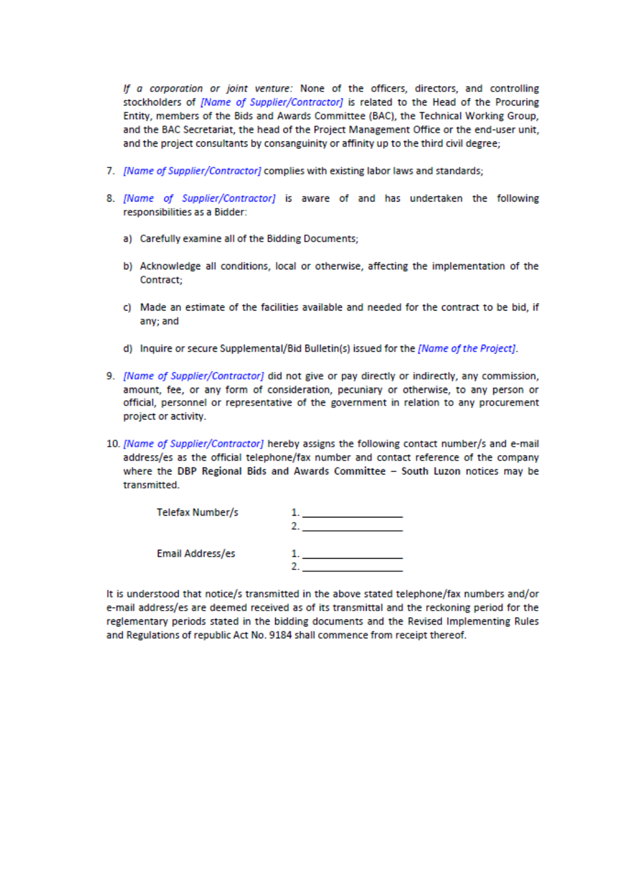If a corporation or joint venture: None of the officers, directors, and controlling stockholders of *[Name of Supplier/Contractor]* is related to the Head of the Procuring Entity, members of the Bids and Awards Committee (BAC), the Technical Working Group, and the BAC Secretariat, the head of the Project Management Office or the end-user unit, and the project consultants by consanguinity or affinity up to the third civil degree;

- 7. [Name of Supplier/Contractor] complies with existing labor laws and standards;
- 8. [Name of Supplier/Contractor] is aware of and has undertaken the following responsibilities as a Bidder:
	- a) Carefully examine all of the Bidding Documents;
	- b) Acknowledge all conditions, local or otherwise, affecting the implementation of the Contract:
	- c) Made an estimate of the facilities available and needed for the contract to be bid, if any: and
	- d) Inquire or secure Supplemental/Bid Bulletin(s) issued for the [Name of the Project].
- 9. [Name of Supplier/Contractor] did not give or pay directly or indirectly, any commission, amount, fee, or any form of consideration, pecuniary or otherwise, to any person or official, personnel or representative of the government in relation to any procurement project or activity.
- 10. [Name of Supplier/Contractor] hereby assigns the following contact number/s and e-mail address/es as the official telephone/fax number and contact reference of the company where the DBP Regional Bids and Awards Committee - South Luzon notices may be transmitted.

| Telefax Number/s |  |
|------------------|--|
| Email Address/es |  |

It is understood that notice/s transmitted in the above stated telephone/fax numbers and/or e-mail address/es are deemed received as of its transmittal and the reckoning period for the reglementary periods stated in the bidding documents and the Revised Implementing Rules and Regulations of republic Act No. 9184 shall commence from receipt thereof.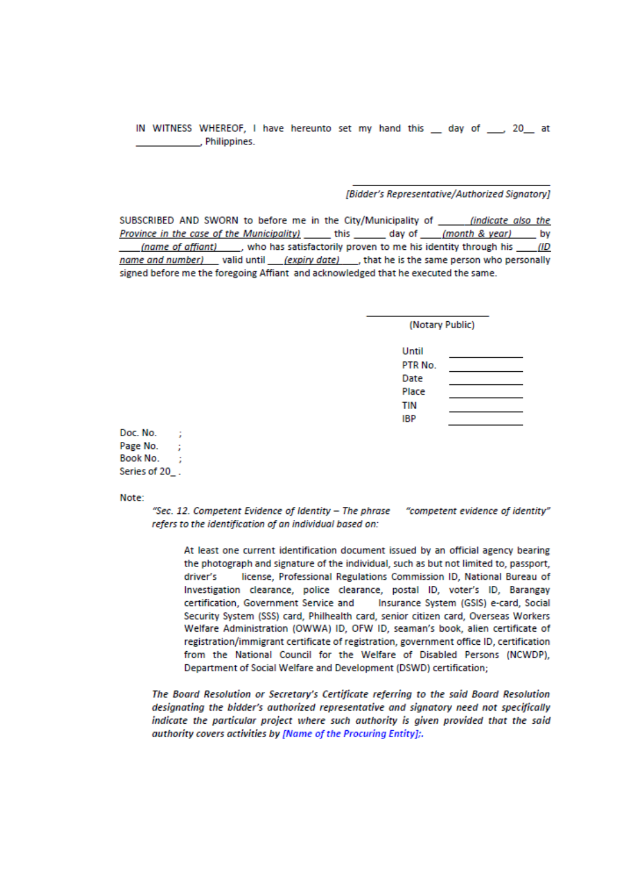IN WITNESS WHEREOF, I have hereunto set my hand this \_\_ day of \_\_\_, 20\_\_ at , Philippines.

### [Bidder's Representative/Authorized Sianatory]

SUBSCRIBED AND SWORN to before me in the City/Municipality of \_\_\_\_\_\_\_ (indicate also the Province in the case of the Municipality) \_\_\_\_\_\_\_ this \_\_\_\_\_\_\_\_ day of \_\_\_\_ (month & year) \_\_\_\_\_\_ by (name of affiant) \_\_\_\_, who has satisfactorily proven to me his identity through his (ID name and number) valid until (expiry date), that he is the same person who personally signed before me the foregoing Affiant and acknowledged that he executed the same.

(Notary Public)

| Until   |  |
|---------|--|
| PTR No. |  |
| Date    |  |
| Place   |  |
| TIN     |  |
| IBP     |  |

Doc. No.  $\sim$  1 Page No. Book No. Series of 20.

Note:

"Sec. 12. Competent Evidence of Identity - The phrase "competent evidence of identity" refers to the identification of an individual based on:

At least one current identification document issued by an official agency bearing the photograph and signature of the individual, such as but not limited to, passport, driver's license, Professional Regulations Commission ID, National Bureau of Investigation clearance, police clearance, postal ID, voter's ID, Barangay certification, Government Service and Insurance System (GSIS) e-card, Social Security System (SSS) card. Philhealth card, senior citizen card. Overseas Workers Welfare Administration (OWWA) ID, OFW ID, seaman's book, alien certificate of registration/immigrant certificate of registration, government office ID, certification from the National Council for the Welfare of Disabled Persons (NCWDP), Department of Social Welfare and Development (DSWD) certification;

The Board Resolution or Secretary's Certificate referring to the said Board Resolution designating the bidder's authorized representative and signatory need not specifically indicate the particular project where such authority is given provided that the said authority covers activities by [Name of the Procuring Entity];.